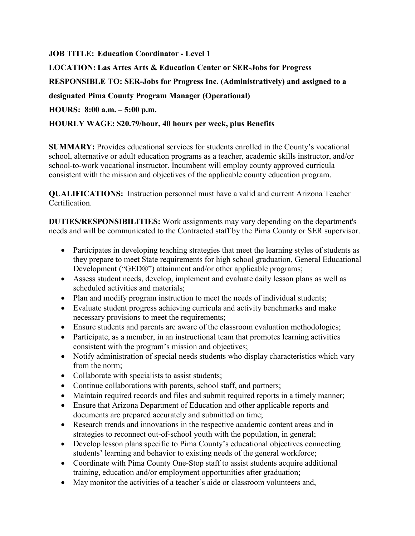**JOB TITLE: Education Coordinator - Level 1**

**LOCATION: Las Artes Arts & Education Center or SER-Jobs for Progress**

**RESPONSIBLE TO: SER-Jobs for Progress Inc. (Administratively) and assigned to a** 

**designated Pima County Program Manager (Operational)**

**HOURS: 8:00 a.m. – 5:00 p.m.**

## **HOURLY WAGE: \$20.79/hour, 40 hours per week, plus Benefits**

**SUMMARY:** Provides educational services for students enrolled in the County's vocational school, alternative or adult education programs as a teacher, academic skills instructor, and/or school-to-work vocational instructor. Incumbent will employ county approved curricula consistent with the mission and objectives of the applicable county education program.

**QUALIFICATIONS:** Instruction personnel must have a valid and current Arizona Teacher Certification.

**DUTIES/RESPONSIBILITIES:** Work assignments may vary depending on the department's needs and will be communicated to the Contracted staff by the Pima County or SER supervisor.

- Participates in developing teaching strategies that meet the learning styles of students as they prepare to meet State requirements for high school graduation, General Educational Development ("GED®") attainment and/or other applicable programs;
- Assess student needs, develop, implement and evaluate daily lesson plans as well as scheduled activities and materials;
- Plan and modify program instruction to meet the needs of individual students;
- Evaluate student progress achieving curricula and activity benchmarks and make necessary provisions to meet the requirements;
- Ensure students and parents are aware of the classroom evaluation methodologies;
- Participate, as a member, in an instructional team that promotes learning activities consistent with the program's mission and objectives;
- Notify administration of special needs students who display characteristics which vary from the norm;
- Collaborate with specialists to assist students;
- Continue collaborations with parents, school staff, and partners;
- Maintain required records and files and submit required reports in a timely manner;
- Ensure that Arizona Department of Education and other applicable reports and documents are prepared accurately and submitted on time;
- Research trends and innovations in the respective academic content areas and in strategies to reconnect out-of-school youth with the population, in general;
- Develop lesson plans specific to Pima County's educational objectives connecting students' learning and behavior to existing needs of the general workforce;
- Coordinate with Pima County One-Stop staff to assist students acquire additional training, education and/or employment opportunities after graduation;
- May monitor the activities of a teacher's aide or classroom volunteers and,